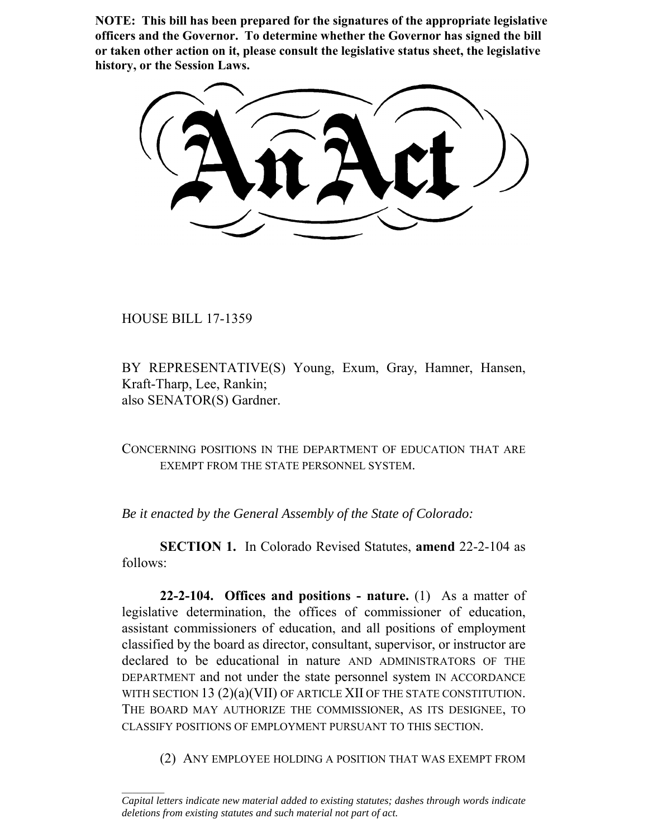**NOTE: This bill has been prepared for the signatures of the appropriate legislative officers and the Governor. To determine whether the Governor has signed the bill or taken other action on it, please consult the legislative status sheet, the legislative history, or the Session Laws.**

HOUSE BILL 17-1359

 $\frac{1}{2}$ 

BY REPRESENTATIVE(S) Young, Exum, Gray, Hamner, Hansen, Kraft-Tharp, Lee, Rankin; also SENATOR(S) Gardner.

CONCERNING POSITIONS IN THE DEPARTMENT OF EDUCATION THAT ARE EXEMPT FROM THE STATE PERSONNEL SYSTEM.

*Be it enacted by the General Assembly of the State of Colorado:*

**SECTION 1.** In Colorado Revised Statutes, **amend** 22-2-104 as follows:

**22-2-104. Offices and positions - nature.** (1) As a matter of legislative determination, the offices of commissioner of education, assistant commissioners of education, and all positions of employment classified by the board as director, consultant, supervisor, or instructor are declared to be educational in nature AND ADMINISTRATORS OF THE DEPARTMENT and not under the state personnel system IN ACCORDANCE WITH SECTION 13 (2)(a)(VII) OF ARTICLE XII OF THE STATE CONSTITUTION. THE BOARD MAY AUTHORIZE THE COMMISSIONER, AS ITS DESIGNEE, TO CLASSIFY POSITIONS OF EMPLOYMENT PURSUANT TO THIS SECTION.

(2) ANY EMPLOYEE HOLDING A POSITION THAT WAS EXEMPT FROM

*Capital letters indicate new material added to existing statutes; dashes through words indicate deletions from existing statutes and such material not part of act.*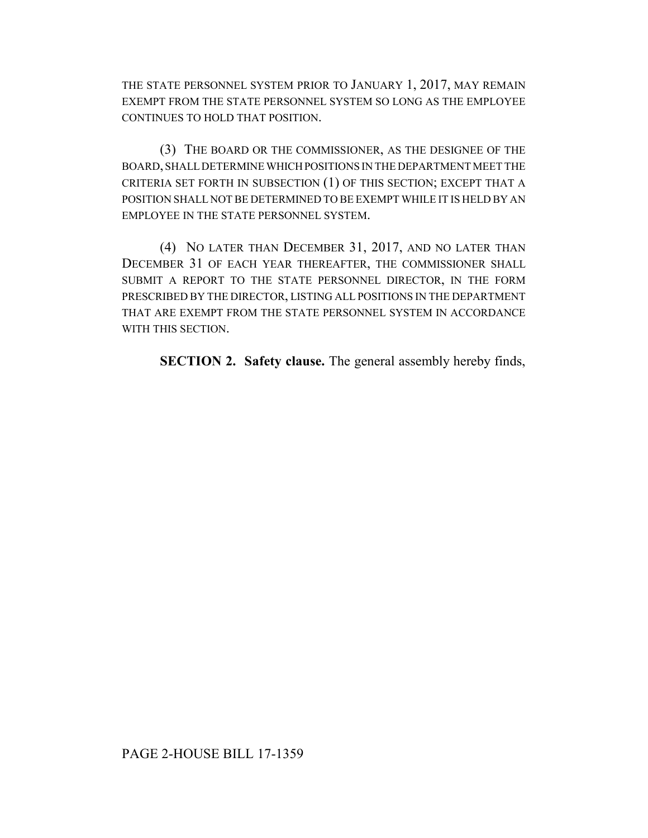THE STATE PERSONNEL SYSTEM PRIOR TO JANUARY 1, 2017, MAY REMAIN EXEMPT FROM THE STATE PERSONNEL SYSTEM SO LONG AS THE EMPLOYEE CONTINUES TO HOLD THAT POSITION.

(3) THE BOARD OR THE COMMISSIONER, AS THE DESIGNEE OF THE BOARD, SHALL DETERMINE WHICH POSITIONS IN THE DEPARTMENT MEET THE CRITERIA SET FORTH IN SUBSECTION (1) OF THIS SECTION; EXCEPT THAT A POSITION SHALL NOT BE DETERMINED TO BE EXEMPT WHILE IT IS HELD BY AN EMPLOYEE IN THE STATE PERSONNEL SYSTEM.

(4) NO LATER THAN DECEMBER 31, 2017, AND NO LATER THAN DECEMBER 31 OF EACH YEAR THEREAFTER, THE COMMISSIONER SHALL SUBMIT A REPORT TO THE STATE PERSONNEL DIRECTOR, IN THE FORM PRESCRIBED BY THE DIRECTOR, LISTING ALL POSITIONS IN THE DEPARTMENT THAT ARE EXEMPT FROM THE STATE PERSONNEL SYSTEM IN ACCORDANCE WITH THIS SECTION.

**SECTION 2. Safety clause.** The general assembly hereby finds,